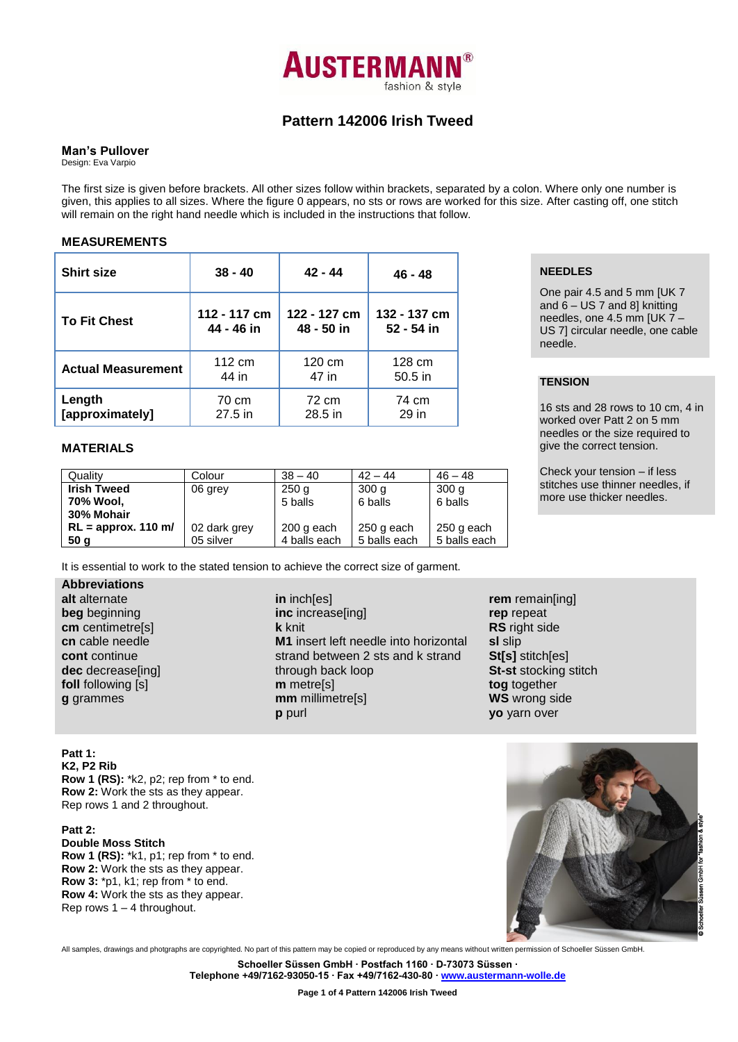

# **Pattern 142006 Irish Tweed**

#### **Man's Pullover**

Design: Eva Varpio

The first size is given before brackets. All other sizes follow within brackets, separated by a colon. Where only one number is given, this applies to all sizes. Where the figure 0 appears, no sts or rows are worked for this size. After casting off, one stitch will remain on the right hand needle which is included in the instructions that follow.

## **MEASUREMENTS**

| <b>Shirt size</b>         | $38 - 40$    | $42 - 44$        | 46 - 48      |
|---------------------------|--------------|------------------|--------------|
| <b>To Fit Chest</b>       | 112 - 117 cm | 122 - 127 cm     | 132 - 137 cm |
|                           | 44 - 46 in   | 48 - 50 in       | 52 - 54 in   |
| <b>Actual Measurement</b> | 112 cm       | $120 \text{ cm}$ | 128 cm       |
|                           | 44 in        | 47 in            | $50.5$ in    |
| Length                    | 70 cm        | 72 cm            | 74 cm        |
| [approximately]           | 27.5 in      | 28.5 in          | 29 in        |

# **MATERIALS**

| Quality               | Colour       | $38 - 40$    | $42 - 44$        | $46 - 48$        |
|-----------------------|--------------|--------------|------------------|------------------|
| <b>Irish Tweed</b>    | 06 grey      | 250q         | 300 <sub>q</sub> | 300 <sub>q</sub> |
| 70% Wool,             |              | 5 balls      | 6 balls          | 6 balls          |
| 30% Mohair            |              |              |                  |                  |
| $RL =$ approx. 110 m/ | 02 dark grey | 200 g each   | 250 g each       | 250 g each       |
| 50 <sub>g</sub>       | 05 silver    | 4 balls each | 5 balls each     | 5 balls each     |

It is essential to work to the stated tension to achieve the correct size of garment.

**Abbreviations alt** alternate **beg** beginning **cm** centimetre[s] **cn** cable needle **cont** continue **dec** decrease[ing] **foll** following [s] **g** grammes

**in** inch[es] **inc** increase[ing] **k** knit **M1** insert left needle into horizontal strand between 2 sts and k strand through back loop **m** metre[s] **mm** millimetre[s] **p** purl

**NEEDLES**

One pair 4.5 and 5 mm [UK 7 and  $6 - US 7$  and 8] knitting needles, one 4.5 mm [UK 7 – US 7] circular needle, one cable needle.

# **TENSION**

16 sts and 28 rows to 10 cm, 4 in worked over Patt 2 on 5 mm needles or the size required to give the correct tension.

Check your tension – if less stitches use thinner needles, if more use thicker needles.

**rem** remain[ing] **rep** repeat **RS** right side **sl** slip **St[s]** stitch[es] **St-st** stocking stitch **tog** together **WS** wrong side **yo** yarn over

**Patt 1: K2, P2 Rib Row 1 (RS):** \*k2, p2; rep from \* to end. **Row 2:** Work the sts as they appear. Rep rows 1 and 2 throughout.

**Patt 2: Double Moss Stitch Row 1 (RS):** \*k1, p1; rep from \* to end. **Row 2:** Work the sts as they appear. **Row 3:** \*p1, k1; rep from \* to end. **Row 4:** Work the sts as they appear. Rep rows  $1 - 4$  throughout.



All samples, drawings and photgraphs are copyrighted. No part of this pattern may be copied or reproduced by any means without written permission of Schoeller Süssen GmbH.

**Schoeller Süssen GmbH ∙ Postfach 1160 ∙ D-73073 Süssen ∙**

**Telephone +49/7162-93050-15 ∙ Fax +49/7162-430-80 ∙ [www.austermann-wolle.de](http://www.austermann-wolle.de/)**

**Page 1 of 4 Pattern 142006 Irish Tweed**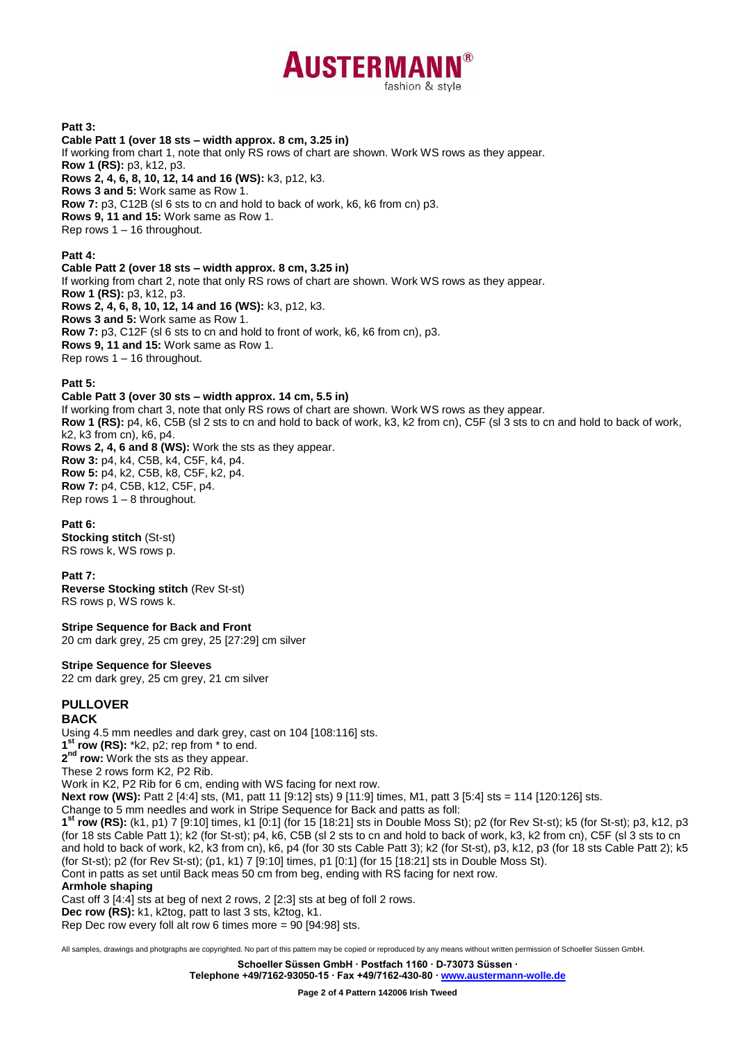

## **Patt 3:**

**Cable Patt 1 (over 18 sts – width approx. 8 cm, 3.25 in)** If working from chart 1, note that only RS rows of chart are shown. Work WS rows as they appear. **Row 1 (RS):** p3, k12, p3. **Rows 2, 4, 6, 8, 10, 12, 14 and 16 (WS):** k3, p12, k3. **Rows 3 and 5:** Work same as Row 1. **Row 7:** p3, C12B (sl 6 sts to cn and hold to back of work, k6, k6 from cn) p3. **Rows 9, 11 and 15:** Work same as Row 1. Rep rows 1 – 16 throughout.

**Patt 4:**

**Cable Patt 2 (over 18 sts – width approx. 8 cm, 3.25 in)** If working from chart 2, note that only RS rows of chart are shown. Work WS rows as they appear. **Row 1 (RS):** p3, k12, p3. **Rows 2, 4, 6, 8, 10, 12, 14 and 16 (WS):** k3, p12, k3. **Rows 3 and 5:** Work same as Row 1. **Row 7:** p3, C12F (sl 6 sts to cn and hold to front of work, k6, k6 from cn), p3. **Rows 9, 11 and 15:** Work same as Row 1. Rep rows 1 – 16 throughout.

#### **Patt 5:**

# **Cable Patt 3 (over 30 sts – width approx. 14 cm, 5.5 in)**

If working from chart 3, note that only RS rows of chart are shown. Work WS rows as they appear. **Row 1 (RS):** p4, k6, C5B (sl 2 sts to cn and hold to back of work, k3, k2 from cn), C5F (sl 3 sts to cn and hold to back of work, k2, k3 from cn), k6, p4. **Rows 2, 4, 6 and 8 (WS):** Work the sts as they appear. **Row 3:** p4, k4, C5B, k4, C5F, k4, p4. **Row 5:** p4, k2, C5B, k8, C5F, k2, p4. **Row 7:** p4, C5B, k12, C5F, p4. Rep rows  $1 - 8$  throughout.

#### **Patt 6:**

**Stocking stitch** (St-st) RS rows k, WS rows p.

#### **Patt 7:**

**Reverse Stocking stitch** (Rev St-st) RS rows p, WS rows k.

#### **Stripe Sequence for Back and Front**

20 cm dark grey, 25 cm grey, 25 [27:29] cm silver

#### **Stripe Sequence for Sleeves**

22 cm dark grey, 25 cm grey, 21 cm silver

# **PULLOVER**

# **BACK**

Using 4.5 mm needles and dark grey, cast on 104 [108:116] sts.

**1 st row (RS):** \*k2, p2; rep from \* to end.

**2 nd row:** Work the sts as they appear.

These 2 rows form K2, P2 Rib.

Work in K2, P2 Rib for 6 cm, ending with WS facing for next row.

**Next row (WS):** Patt 2 [4:4] sts, (M1, patt 11 [9:12] sts) 9 [11:9] times, M1, patt 3 [5:4] sts = 114 [120:126] sts.

Change to 5 mm needles and work in Stripe Sequence for Back and patts as foll:

**1 st row (RS):** (k1, p1) 7 [9:10] times, k1 [0:1] (for 15 [18:21] sts in Double Moss St); p2 (for Rev St-st); k5 (for St-st); p3, k12, p3 (for 18 sts Cable Patt 1); k2 (for St-st); p4, k6, C5B (sl 2 sts to cn and hold to back of work, k3, k2 from cn), C5F (sl 3 sts to cn and hold to back of work, k2, k3 from cn), k6, p4 (for 30 sts Cable Patt 3); k2 (for St-st), p3, k12, p3 (for 18 sts Cable Patt 2); k5 (for St-st); p2 (for Rev St-st); (p1, k1) 7 [9:10] times, p1 [0:1] (for 15 [18:21] sts in Double Moss St).

Cont in patts as set until Back meas 50 cm from beg, ending with RS facing for next row.

#### **Armhole shaping**

Cast off 3 [4:4] sts at beg of next 2 rows, 2 [2:3] sts at beg of foll 2 rows.

**Dec row (RS):** k1, k2tog, patt to last 3 sts, k2tog, k1.

Rep Dec row every foll alt row 6 times more = 90 [94:98] sts.

All samples, drawings and photgraphs are copyrighted. No part of this pattern may be copied or reproduced by any means without written permission of Schoeller Süssen GmbH.

**Schoeller Süssen GmbH ∙ Postfach 1160 ∙ D-73073 Süssen ∙**

**Telephone +49/7162-93050-15 ∙ Fax +49/7162-430-80 ∙ [www.austermann-wolle.de](http://www.austermann-wolle.de/)**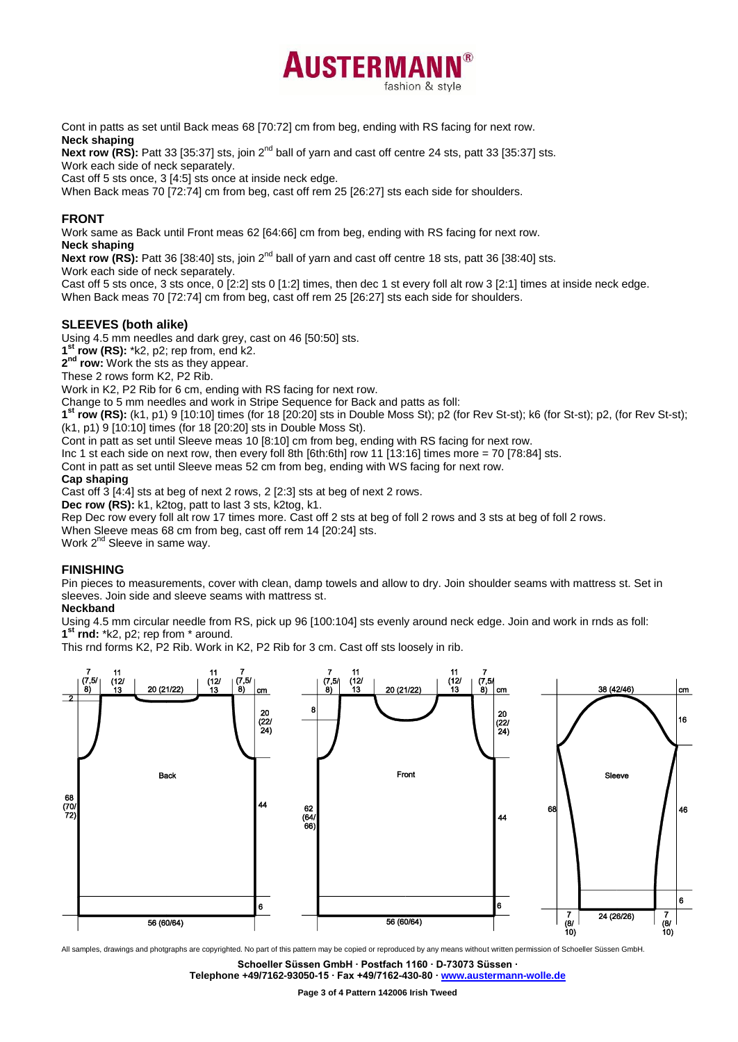

Cont in patts as set until Back meas 68 [70:72] cm from beg, ending with RS facing for next row. **Neck shaping**

Next row (RS): Patt 33 [35:37] sts, join 2<sup>nd</sup> ball of yarn and cast off centre 24 sts, patt 33 [35:37] sts. Work each side of neck separately.

Cast off 5 sts once, 3 [4:5] sts once at inside neck edge.

When Back meas 70 [72:74] cm from beg, cast off rem 25 [26:27] sts each side for shoulders.

# **FRONT**

Work same as Back until Front meas 62 [64:66] cm from beg, ending with RS facing for next row.

**Neck shaping**

Next row (RS): Patt 36 [38:40] sts, join 2<sup>nd</sup> ball of yarn and cast off centre 18 sts, patt 36 [38:40] sts.

Work each side of neck separately.

Cast off 5 sts once, 3 sts once, 0 [2:2] sts 0 [1:2] times, then dec 1 st every foll alt row 3 [2:1] times at inside neck edge. When Back meas 70 [72:74] cm from beg, cast off rem 25 [26:27] sts each side for shoulders.

# **SLEEVES (both alike)**

Using 4.5 mm needles and dark grey, cast on 46 [50:50] sts.

**1 st row (RS):** \*k2, p2; rep from, end k2.

**2 nd row:** Work the sts as they appear.

These 2 rows form K2, P2 Rib.

Work in K2, P2 Rib for 6 cm, ending with RS facing for next row.

Change to 5 mm needles and work in Stripe Sequence for Back and patts as foll:

**1 st row (RS):** (k1, p1) 9 [10:10] times (for 18 [20:20] sts in Double Moss St); p2 (for Rev St-st); k6 (for St-st); p2, (for Rev St-st); (k1, p1) 9 [10:10] times (for 18 [20:20] sts in Double Moss St).

Cont in patt as set until Sleeve meas 10 [8:10] cm from beg, ending with RS facing for next row.

Inc 1 st each side on next row, then every foll 8th [6th:6th] row 11 [13:16] times more = 70 [78:84] sts.

Cont in patt as set until Sleeve meas 52 cm from beg, ending with WS facing for next row.

# **Cap shaping**

Cast off 3 [4:4] sts at beg of next 2 rows, 2 [2:3] sts at beg of next 2 rows.

**Dec row (RS):** k1, k2tog, patt to last 3 sts, k2tog, k1.

Rep Dec row every foll alt row 17 times more. Cast off 2 sts at beg of foll 2 rows and 3 sts at beg of foll 2 rows.

When Sleeve meas 68 cm from beg, cast off rem 14 [20:24] sts.

Work 2<sup>nd</sup> Sleeve in same way.

# **FINISHING**

Pin pieces to measurements, cover with clean, damp towels and allow to dry. Join shoulder seams with mattress st. Set in sleeves. Join side and sleeve seams with mattress st.

# **Neckband**

Using 4.5 mm circular needle from RS, pick up 96 [100:104] sts evenly around neck edge. Join and work in rnds as foll: **1 st rnd:** \*k2, p2; rep from \* around.

This rnd forms K2, P2 Rib. Work in K2, P2 Rib for 3 cm. Cast off sts loosely in rib.



All samples, drawings and photgraphs are copyrighted. No part of this pattern may be copied or reproduced by any means without written permission of Schoeller Süssen GmbH.

**Schoeller Süssen GmbH ∙ Postfach 1160 ∙ D-73073 Süssen ∙**

**Telephone +49/7162-93050-15 ∙ Fax +49/7162-430-80 ∙ [www.austermann-wolle.de](http://www.austermann-wolle.de/)**